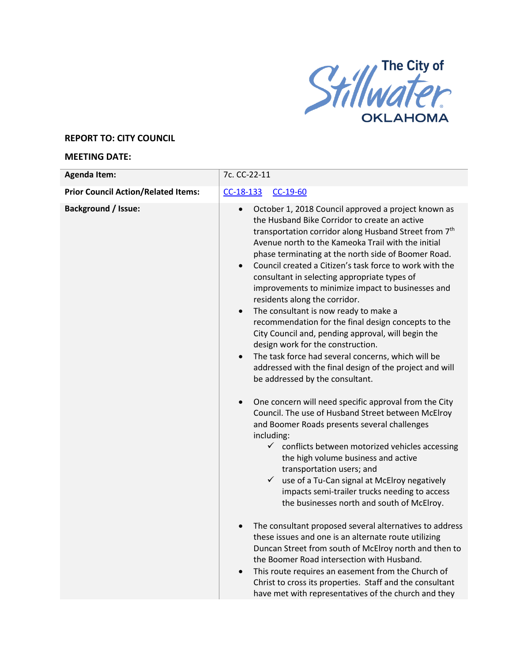

## **REPORT TO: CITY COUNCIL**

## **MEETING DATE:**

| <b>Agenda Item:</b>                        | 7c. CC-22-11                                                                                                                                                                                                                                                                                                                                                                                                                                                                                                                                                                                                                                                                                                                                                                                                                                                                                                                                                                                                                                                                                                                                                                                                                                                                                                                                                                                                                                      |
|--------------------------------------------|---------------------------------------------------------------------------------------------------------------------------------------------------------------------------------------------------------------------------------------------------------------------------------------------------------------------------------------------------------------------------------------------------------------------------------------------------------------------------------------------------------------------------------------------------------------------------------------------------------------------------------------------------------------------------------------------------------------------------------------------------------------------------------------------------------------------------------------------------------------------------------------------------------------------------------------------------------------------------------------------------------------------------------------------------------------------------------------------------------------------------------------------------------------------------------------------------------------------------------------------------------------------------------------------------------------------------------------------------------------------------------------------------------------------------------------------------|
| <b>Prior Council Action/Related Items:</b> | $CC-18-133$<br>$CC-19-60$                                                                                                                                                                                                                                                                                                                                                                                                                                                                                                                                                                                                                                                                                                                                                                                                                                                                                                                                                                                                                                                                                                                                                                                                                                                                                                                                                                                                                         |
| <b>Background / Issue:</b>                 | October 1, 2018 Council approved a project known as<br>$\bullet$<br>the Husband Bike Corridor to create an active<br>transportation corridor along Husband Street from 7 <sup>th</sup><br>Avenue north to the Kameoka Trail with the initial<br>phase terminating at the north side of Boomer Road.<br>Council created a Citizen's task force to work with the<br>consultant in selecting appropriate types of<br>improvements to minimize impact to businesses and<br>residents along the corridor.<br>The consultant is now ready to make a<br>$\bullet$<br>recommendation for the final design concepts to the<br>City Council and, pending approval, will begin the<br>design work for the construction.<br>The task force had several concerns, which will be<br>$\bullet$<br>addressed with the final design of the project and will<br>be addressed by the consultant.<br>One concern will need specific approval from the City<br>$\bullet$<br>Council. The use of Husband Street between McElroy<br>and Boomer Roads presents several challenges<br>including:<br>$\checkmark$ conflicts between motorized vehicles accessing<br>the high volume business and active<br>transportation users; and<br>$\checkmark$<br>use of a Tu-Can signal at McElroy negatively<br>impacts semi-trailer trucks needing to access<br>the businesses north and south of McElroy.<br>The consultant proposed several alternatives to address<br>$\bullet$ |
|                                            | these issues and one is an alternate route utilizing<br>Duncan Street from south of McElroy north and then to<br>the Boomer Road intersection with Husband.<br>This route requires an easement from the Church of<br>Christ to cross its properties. Staff and the consultant<br>have met with representatives of the church and they                                                                                                                                                                                                                                                                                                                                                                                                                                                                                                                                                                                                                                                                                                                                                                                                                                                                                                                                                                                                                                                                                                             |